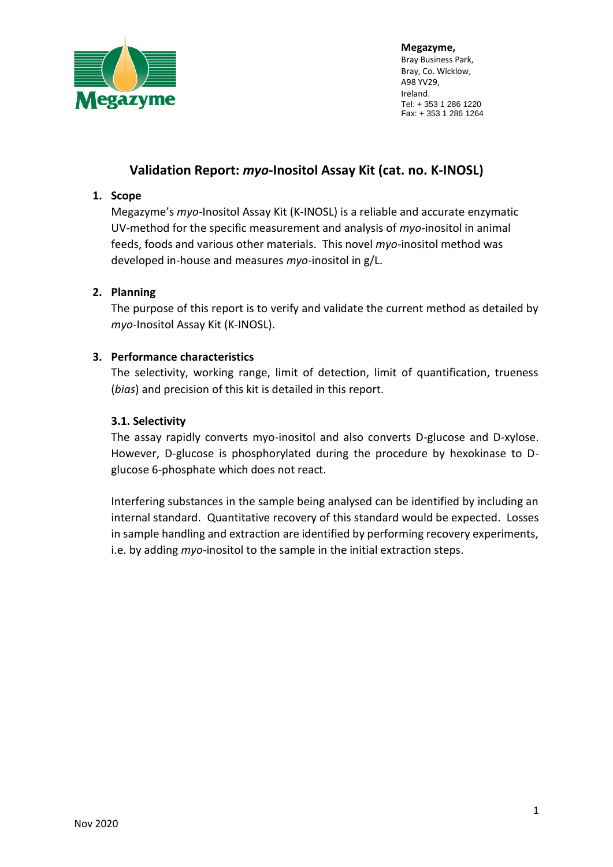

# **Validation Report:** *myo-***Inositol Assay Kit (cat. no. K-INOSL)**

#### **1. Scope**

Megazyme's *myo-*Inositol Assay Kit (K-INOSL) is a reliable and accurate enzymatic UV-method for the specific measurement and analysis of *myo*-inositol in animal feeds, foods and various other materials. This novel *myo-*inositol method was developed in-house and measures *myo-*inositol in g/L.

### **2. Planning**

The purpose of this report is to verify and validate the current method as detailed by *myo-*Inositol Assay Kit (K-INOSL).

#### **3. Performance characteristics**

The selectivity, working range, limit of detection, limit of quantification, trueness (*bias*) and precision of this kit is detailed in this report.

#### **3.1. Selectivity**

The assay rapidly converts myo-inositol and also converts D-glucose and D-xylose. However, D-glucose is phosphorylated during the procedure by hexokinase to Dglucose 6-phosphate which does not react.

Interfering substances in the sample being analysed can be identified by including an internal standard. Quantitative recovery of this standard would be expected. Losses in sample handling and extraction are identified by performing recovery experiments, i.e. by adding *myo-*inositol to the sample in the initial extraction steps.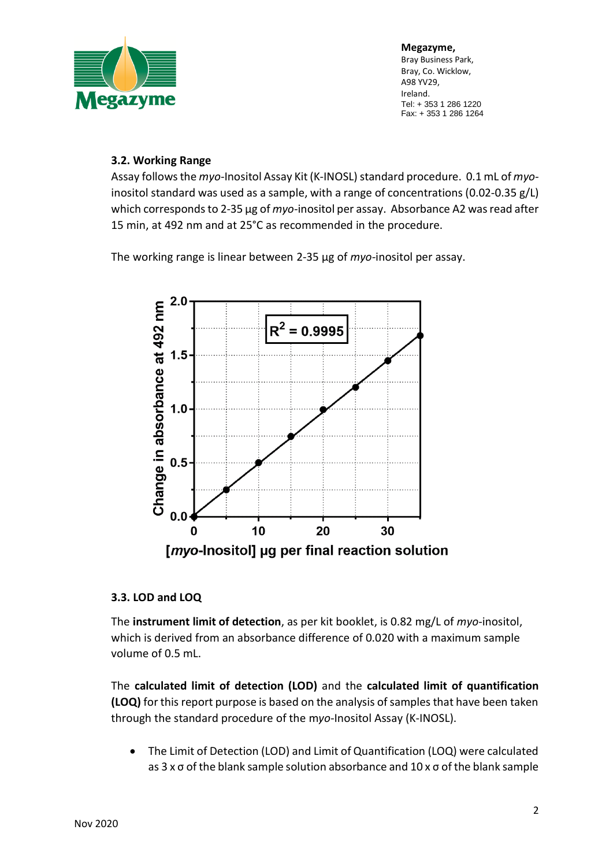

### **3.2. Working Range**

Assay follows the *myo*-Inositol Assay Kit (K-INOSL) standard procedure. 0.1 mL of *myo*inositol standard was used as a sample, with a range of concentrations (0.02-0.35 g/L) which corresponds to 2-35 μg of *myo-*inositol per assay. Absorbance A2 was read after 15 min, at 492 nm and at 25°C as recommended in the procedure.

The working range is linear between 2-35 μg of *myo-*inositol per assay.



### **3.3. LOD and LOQ**

The **instrument limit of detection**, as per kit booklet, is 0.82 mg/L of *myo*-inositol, which is derived from an absorbance difference of 0.020 with a maximum sample volume of 0.5 mL.

The **calculated limit of detection (LOD)** and the **calculated limit of quantification (LOQ)** for this report purpose is based on the analysis of samples that have been taken through the standard procedure of the m*yo-*Inositol Assay (K-INOSL).

• The Limit of Detection (LOD) and Limit of Quantification (LOQ) were calculated as 3 x σ of the blank sample solution absorbance and 10 x σ of the blank sample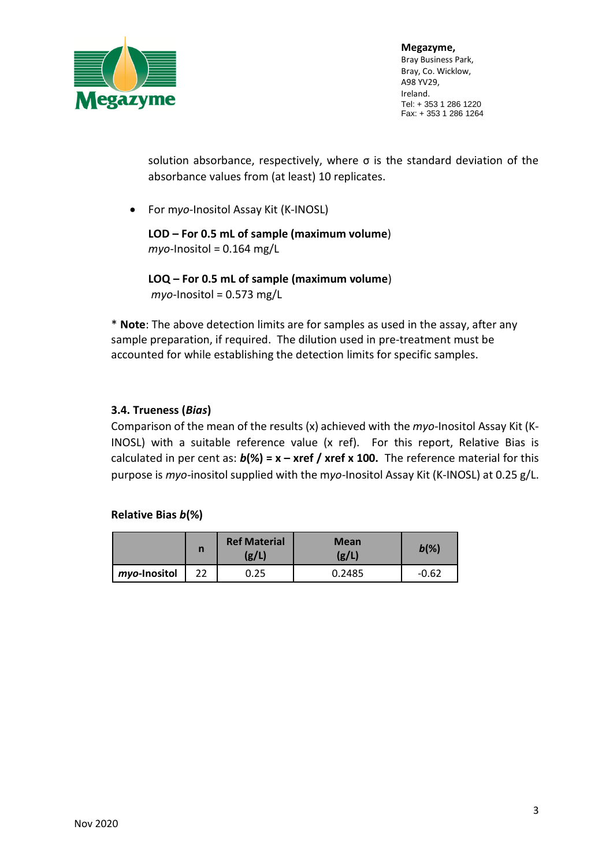

solution absorbance, respectively, where σ is the standard deviation of the absorbance values from (at least) 10 replicates.

• For m*yo-*Inositol Assay Kit (K-INOSL)

**LOD – For 0.5 mL of sample (maximum volume**) *myo-*Inositol = 0.164 mg/L

**LOQ – For 0.5 mL of sample (maximum volume**) *myo-*Inositol = 0.573 mg/L

\* **Note**: The above detection limits are for samples as used in the assay, after any sample preparation, if required. The dilution used in pre-treatment must be accounted for while establishing the detection limits for specific samples.

## **3.4. Trueness (***Bias***)**

Comparison of the mean of the results (x) achieved with the *myo-*Inositol Assay Kit (K-INOSL) with a suitable reference value (x ref). For this report, Relative Bias is calculated in per cent as: *b***(%) = x – xref / xref x 100.** The reference material for this purpose is *myo-*inositol supplied with the m*yo-*Inositol Assay Kit (K-INOSL) at 0.25 g/L.

### **Relative Bias** *b***(%)**

|              |    | <b>Ref Material</b><br>(g/L) | <b>Mean</b><br>(g/L) | $b(\%)$ |
|--------------|----|------------------------------|----------------------|---------|
| myo-Inositol | 22 | 0.25                         | 0.2485               | $-0.62$ |